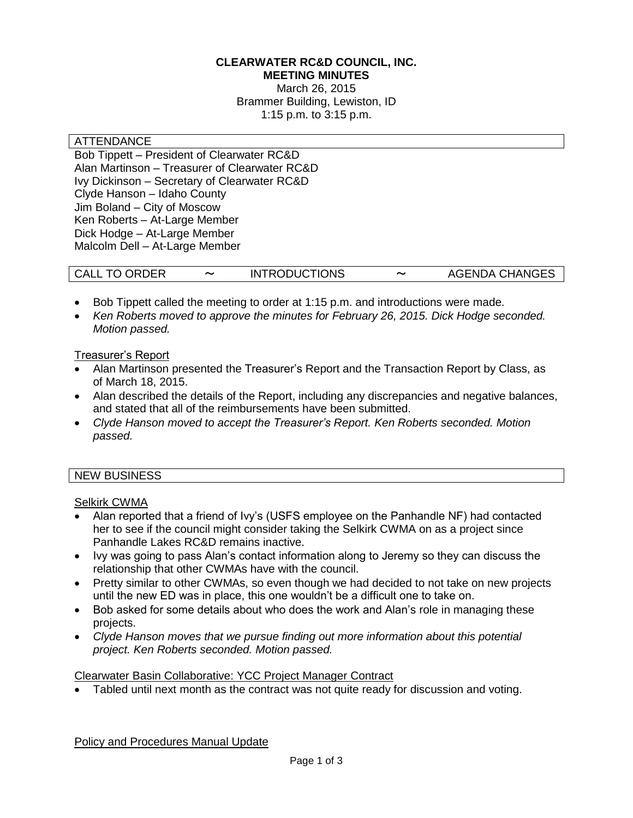#### **CLEARWATER RC&D COUNCIL, INC. MEETING MINUTES**

March 26, 2015 Brammer Building, Lewiston, ID 1:15 p.m. to 3:15 p.m.

#### ATTENDANCE

Bob Tippett – President of Clearwater RC&D Alan Martinson – Treasurer of Clearwater RC&D Ivy Dickinson – Secretary of Clearwater RC&D Clyde Hanson – Idaho County Jim Boland – City of Moscow Ken Roberts – At-Large Member Dick Hodge – At-Large Member Malcolm Dell – At-Large Member

| <b>CALL TO ORDER</b> | <b>INTRODUCTIONS</b> | $\tilde{\phantom{a}}$ | <b>AGENDA CHANGES</b> |
|----------------------|----------------------|-----------------------|-----------------------|
|----------------------|----------------------|-----------------------|-----------------------|

- Bob Tippett called the meeting to order at 1:15 p.m. and introductions were made.
- *Ken Roberts moved to approve the minutes for February 26, 2015. Dick Hodge seconded. Motion passed.*

### Treasurer's Report

- Alan Martinson presented the Treasurer's Report and the Transaction Report by Class, as of March 18, 2015.
- Alan described the details of the Report, including any discrepancies and negative balances, and stated that all of the reimbursements have been submitted.
- *Clyde Hanson moved to accept the Treasurer's Report. Ken Roberts seconded. Motion passed.*

### NEW BUSINESS

## Selkirk CWMA

- Alan reported that a friend of Ivy's (USFS employee on the Panhandle NF) had contacted her to see if the council might consider taking the Selkirk CWMA on as a project since Panhandle Lakes RC&D remains inactive.
- Ivy was going to pass Alan's contact information along to Jeremy so they can discuss the relationship that other CWMAs have with the council.
- Pretty similar to other CWMAs, so even though we had decided to not take on new projects until the new ED was in place, this one wouldn't be a difficult one to take on.
- Bob asked for some details about who does the work and Alan's role in managing these projects.
- *Clyde Hanson moves that we pursue finding out more information about this potential project. Ken Roberts seconded. Motion passed.*

### Clearwater Basin Collaborative: YCC Project Manager Contract

Tabled until next month as the contract was not quite ready for discussion and voting.

Policy and Procedures Manual Update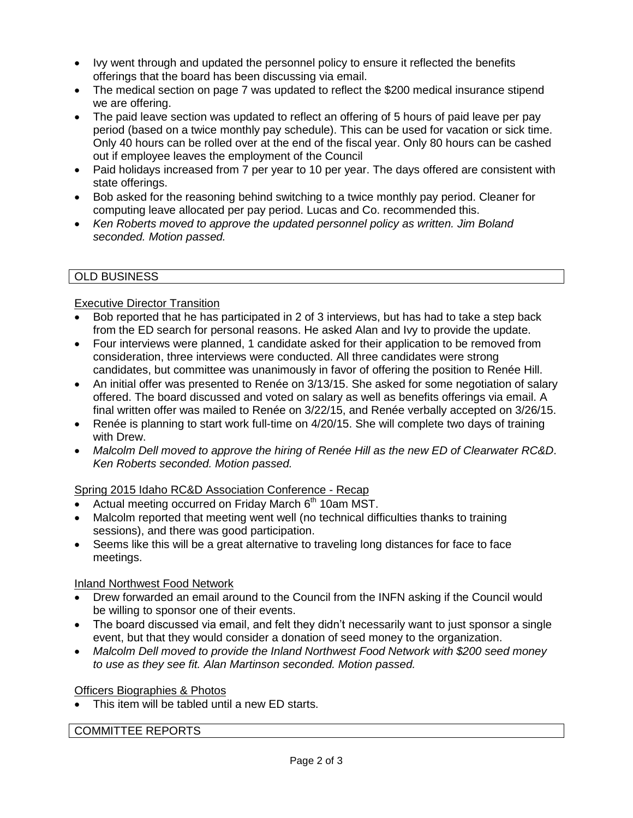- Ivy went through and updated the personnel policy to ensure it reflected the benefits offerings that the board has been discussing via email.
- The medical section on page 7 was updated to reflect the \$200 medical insurance stipend we are offering.
- The paid leave section was updated to reflect an offering of 5 hours of paid leave per pay period (based on a twice monthly pay schedule). This can be used for vacation or sick time. Only 40 hours can be rolled over at the end of the fiscal year. Only 80 hours can be cashed out if employee leaves the employment of the Council
- Paid holidays increased from 7 per year to 10 per year. The days offered are consistent with state offerings.
- Bob asked for the reasoning behind switching to a twice monthly pay period. Cleaner for computing leave allocated per pay period. Lucas and Co. recommended this.
- *Ken Roberts moved to approve the updated personnel policy as written. Jim Boland seconded. Motion passed.*

## OLD BUSINESS

### Executive Director Transition

- Bob reported that he has participated in 2 of 3 interviews, but has had to take a step back from the ED search for personal reasons. He asked Alan and Ivy to provide the update.
- Four interviews were planned, 1 candidate asked for their application to be removed from consideration, three interviews were conducted. All three candidates were strong candidates, but committee was unanimously in favor of offering the position to Renée Hill.
- An initial offer was presented to Renée on 3/13/15. She asked for some negotiation of salary offered. The board discussed and voted on salary as well as benefits offerings via email. A final written offer was mailed to Renée on 3/22/15, and Renée verbally accepted on 3/26/15.
- Renée is planning to start work full-time on 4/20/15. She will complete two days of training with Drew.
- *Malcolm Dell moved to approve the hiring of Renée Hill as the new ED of Clearwater RC&D. Ken Roberts seconded. Motion passed.*

# Spring 2015 Idaho RC&D Association Conference - Recap

- Actual meeting occurred on Friday March  $6<sup>th</sup>$  10am MST.
- Malcolm reported that meeting went well (no technical difficulties thanks to training sessions), and there was good participation.
- Seems like this will be a great alternative to traveling long distances for face to face meetings.

### Inland Northwest Food Network

- Drew forwarded an email around to the Council from the INFN asking if the Council would be willing to sponsor one of their events.
- The board discussed via email, and felt they didn't necessarily want to just sponsor a single event, but that they would consider a donation of seed money to the organization.
- *Malcolm Dell moved to provide the Inland Northwest Food Network with \$200 seed money to use as they see fit. Alan Martinson seconded. Motion passed.*

### Officers Biographies & Photos

This item will be tabled until a new ED starts.

### COMMITTEE REPORTS